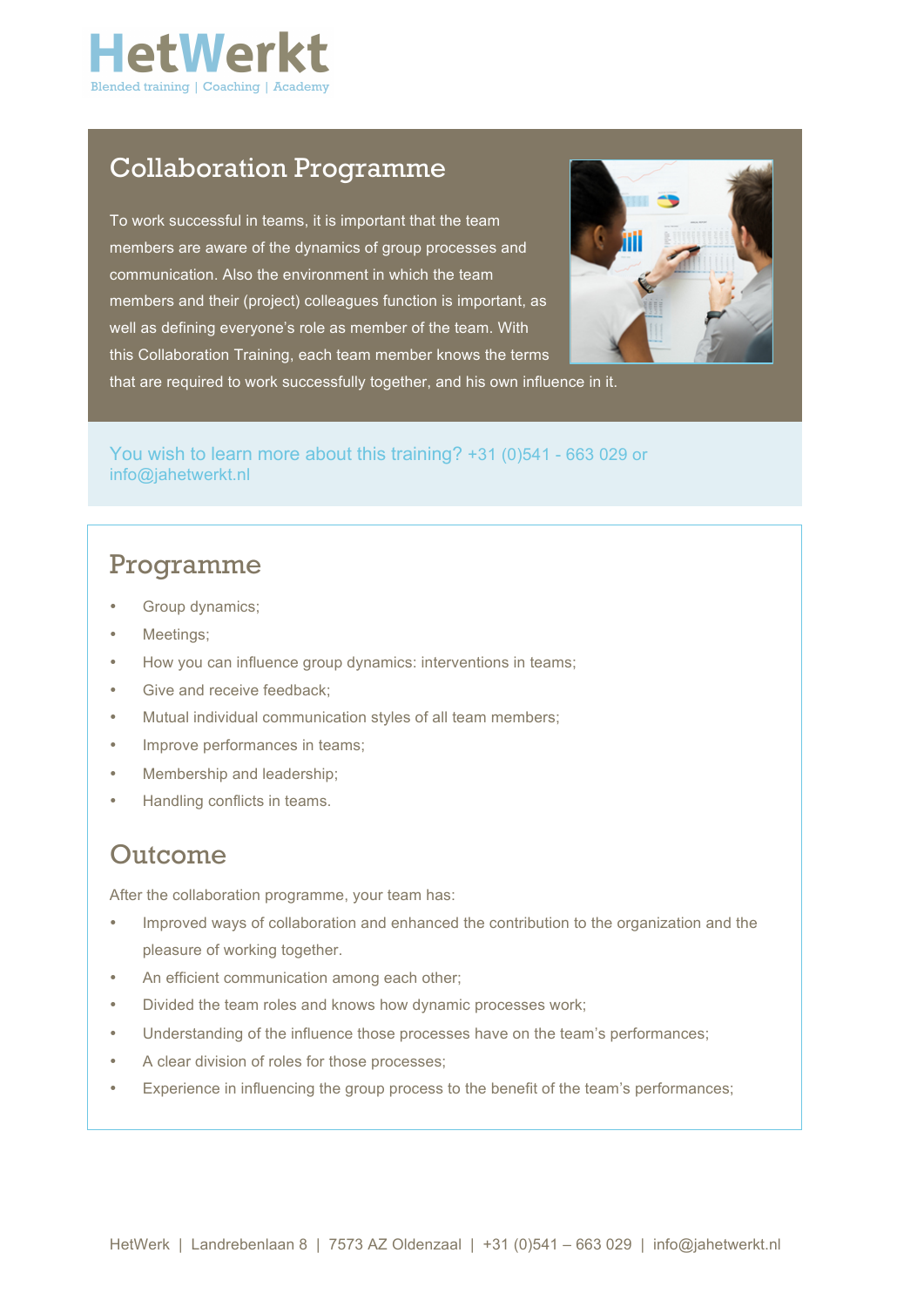

# Collaboration Programme

To work successful in teams, it is important that the team members are aware of the dynamics of group processes and communication. Also the environment in which the team members and their (project) colleagues function is important, as well as defining everyone's role as member of the team. With this Collaboration Training, each team member knows the terms



that are required to work successfully together, and his own influence in it.

### You wish to learn more about this training? +31 (0)541 - 663 029 or info@jahetwerkt.nl

## Programme

- Group dynamics;
- Meetings;
- How you can influence group dynamics: interventions in teams;
- Give and receive feedback;
- Mutual individual communication styles of all team members;
- Improve performances in teams;
- Membership and leadership;
- Handling conflicts in teams.

### Outcome

After the collaboration programme, your team has:

- Improved ways of collaboration and enhanced the contribution to the organization and the pleasure of working together.
- An efficient communication among each other;
- Divided the team roles and knows how dynamic processes work;
- Understanding of the influence those processes have on the team's performances;
- A clear division of roles for those processes;
- Experience in influencing the group process to the benefit of the team's performances;